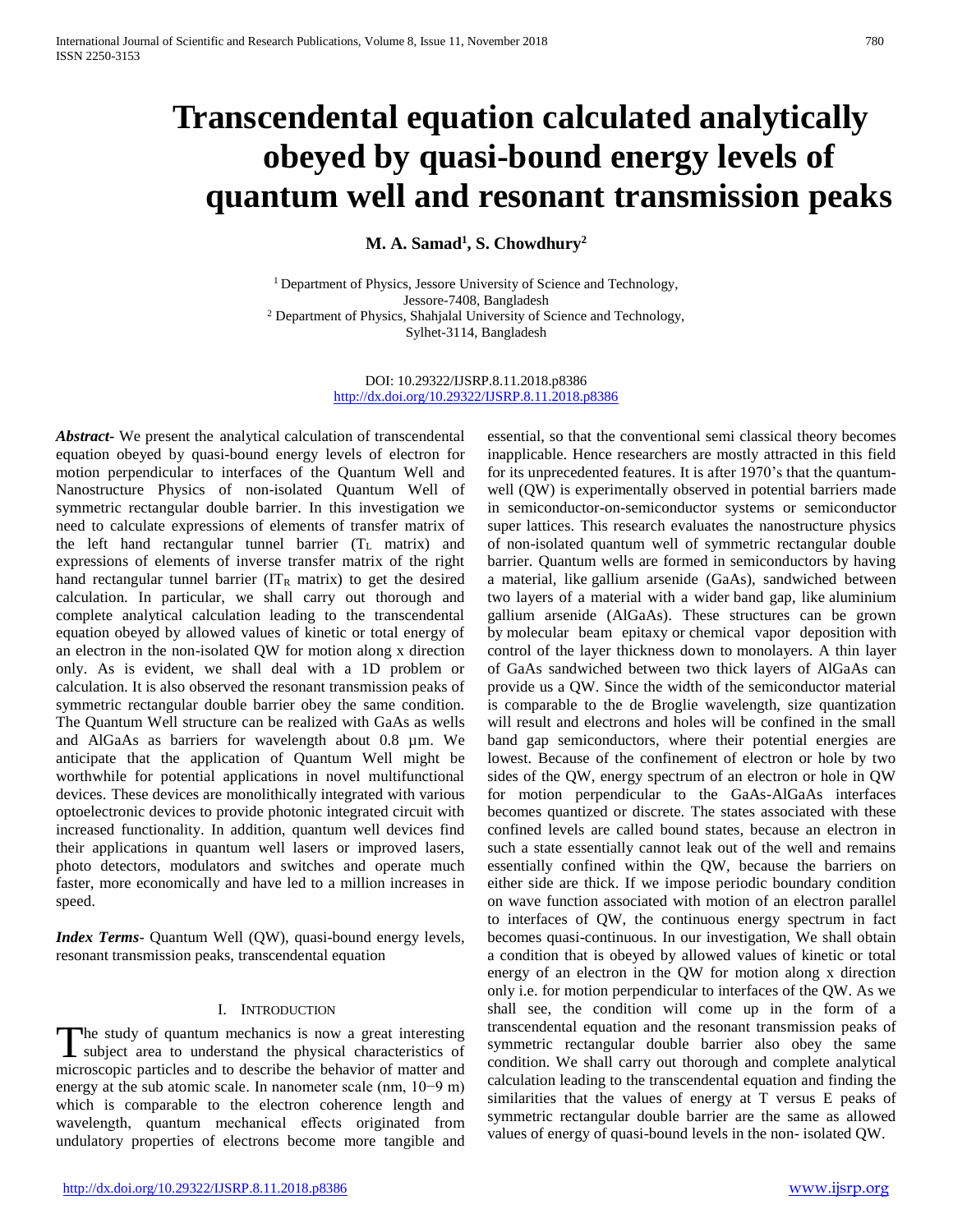# **Transcendental equation calculated analytically obeyed by quasi-bound energy levels of quantum well and resonant transmission peaks**

**M. A. Samad<sup>1</sup> , S. Chowdhury<sup>2</sup>**

<sup>1</sup> Department of Physics, Jessore University of Science and Technology, Jessore-7408, Bangladesh <sup>2</sup> Department of Physics, Shahjalal University of Science and Technology, Sylhet-3114, Bangladesh

> DOI: 10.29322/IJSRP.8.11.2018.p8386 <http://dx.doi.org/10.29322/IJSRP.8.11.2018.p8386>

*Abstract***-** We present the analytical calculation of transcendental equation obeyed by quasi-bound energy levels of electron for motion perpendicular to interfaces of the Quantum Well and Nanostructure Physics of non-isolated Quantum Well of symmetric rectangular double barrier. In this investigation we need to calculate expressions of elements of transfer matrix of the left hand rectangular tunnel barrier  $(T_L$  matrix) and expressions of elements of inverse transfer matrix of the right hand rectangular tunnel barrier ( $IT_R$  matrix) to get the desired calculation. In particular, we shall carry out thorough and complete analytical calculation leading to the transcendental equation obeyed by allowed values of kinetic or total energy of an electron in the non-isolated QW for motion along x direction only. As is evident, we shall deal with a 1D problem or calculation. It is also observed the resonant transmission peaks of symmetric rectangular double barrier obey the same condition. The Quantum Well structure can be realized with GaAs as wells and AlGaAs as barriers for wavelength about 0.8 µm. We anticipate that the application of Quantum Well might be worthwhile for potential applications in novel multifunctional devices. These devices are monolithically integrated with various optoelectronic devices to provide photonic integrated circuit with increased functionality. In addition, quantum well devices find their applications in quantum well lasers or improved lasers, photo detectors, modulators and switches and operate much faster, more economically and have led to a million increases in speed.

*Index Terms*- Quantum Well (QW), quasi-bound energy levels, resonant transmission peaks, transcendental equation

## I. INTRODUCTION

The study of quantum mechanics is now a great interesting subject area to understand the physical characteristics of The study of quantum mechanics is now a great interesting<br>subject area to understand the physical characteristics of<br>microscopic particles and to describe the behavior of matter and energy at the sub atomic scale. In nanometer scale (nm, 10−9 m) which is comparable to the electron coherence length and wavelength, quantum mechanical effects originated from undulatory properties of electrons become more tangible and

essential, so that the conventional semi classical theory becomes inapplicable. Hence researchers are mostly attracted in this field for its unprecedented features. It is after 1970's that the quantumwell (QW) is experimentally observed in potential barriers made in semiconductor-on-semiconductor systems or semiconductor super lattices. This research evaluates the nanostructure physics of non-isolated quantum well of symmetric rectangular double barrier. Quantum wells are formed in semiconductors by having a material, like gallium arsenide (GaAs), sandwiched between two layers of a material with a wider band gap, like aluminium gallium arsenide (AlGaAs). These structures can be grown by molecular beam epitaxy or chemical vapor deposition with control of the layer thickness down to monolayers. A thin layer of GaAs sandwiched between two thick layers of AlGaAs can provide us a QW. Since the width of the semiconductor material is comparable to the de Broglie wavelength, size quantization will result and electrons and holes will be confined in the small band gap semiconductors, where their potential energies are lowest. Because of the confinement of electron or hole by two sides of the QW, energy spectrum of an electron or hole in QW for motion perpendicular to the GaAs-AlGaAs interfaces becomes quantized or discrete. The states associated with these confined levels are called bound states, because an electron in such a state essentially cannot leak out of the well and remains essentially confined within the QW, because the barriers on either side are thick. If we impose periodic boundary condition on wave function associated with motion of an electron parallel to interfaces of QW, the continuous energy spectrum in fact becomes quasi-continuous. In our investigation, We shall obtain a condition that is obeyed by allowed values of kinetic or total energy of an electron in the QW for motion along x direction only i.e. for motion perpendicular to interfaces of the QW. As we shall see, the condition will come up in the form of a transcendental equation and the resonant transmission peaks of symmetric rectangular double barrier also obey the same condition. We shall carry out thorough and complete analytical calculation leading to the transcendental equation and finding the similarities that the values of energy at T versus E peaks of symmetric rectangular double barrier are the same as allowed values of energy of quasi-bound levels in the non- isolated QW.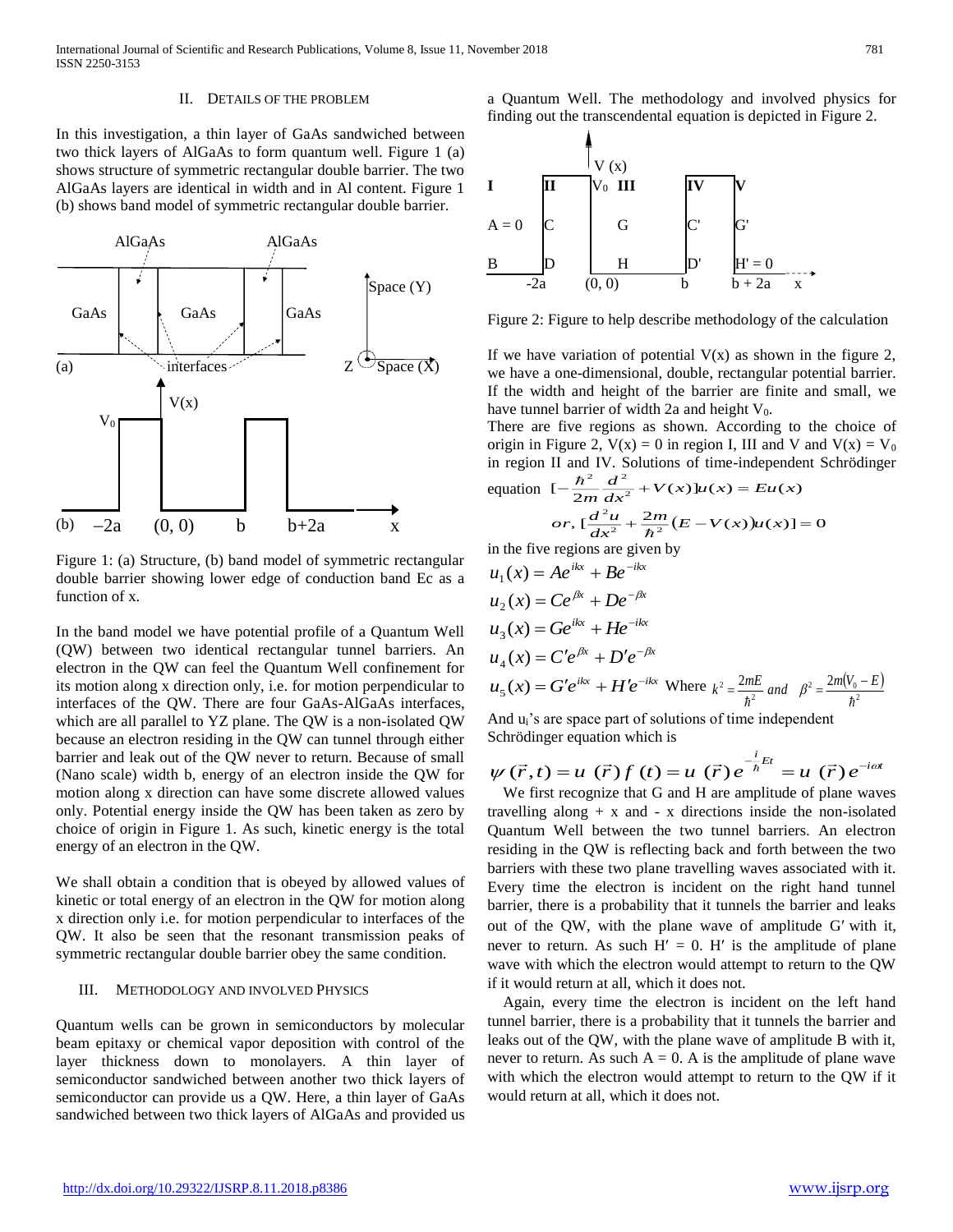### II. DETAILS OF THE PROBLEM

In this investigation, a thin layer of GaAs sandwiched between two thick layers of AlGaAs to form quantum well. Figure 1 (a) shows structure of symmetric rectangular double barrier. The two AlGaAs layers are identical in width and in Al content. Figure 1 (b) shows band model of symmetric rectangular double barrier.



Figure 1: (a) Structure, (b) band model of symmetric rectangular double barrier showing lower edge of conduction band Ec as a function of x.

In the band model we have potential profile of a Quantum Well (QW) between two identical rectangular tunnel barriers. An electron in the QW can feel the Quantum Well confinement for its motion along x direction only, i.e. for motion perpendicular to interfaces of the QW. There are four GaAs-AlGaAs interfaces, which are all parallel to YZ plane. The QW is a non-isolated QW because an electron residing in the QW can tunnel through either barrier and leak out of the QW never to return. Because of small (Nano scale) width b, energy of an electron inside the QW for motion along x direction can have some discrete allowed values only. Potential energy inside the QW has been taken as zero by choice of origin in Figure 1. As such, kinetic energy is the total energy of an electron in the QW.

We shall obtain a condition that is obeyed by allowed values of kinetic or total energy of an electron in the QW for motion along x direction only i.e. for motion perpendicular to interfaces of the QW. It also be seen that the resonant transmission peaks of symmetric rectangular double barrier obey the same condition.

## III. METHODOLOGY AND INVOLVED PHYSICS

Quantum wells can be grown in semiconductors by molecular beam epitaxy or chemical vapor deposition with control of the layer thickness down to monolayers. A thin layer of semiconductor sandwiched between another two thick layers of semiconductor can provide us a QW. Here, a thin layer of GaAs sandwiched between two thick layers of AlGaAs and provided us

a Quantum Well. The methodology and involved physics for finding out the transcendental equation is depicted in Figure 2.



Figure 2: Figure to help describe methodology of the calculation

If we have variation of potential  $V(x)$  as shown in the figure 2, we have a one-dimensional, double, rectangular potential barrier. If the width and height of the barrier are finite and small, we have tunnel barrier of width 2a and height  $V_0$ .

There are five regions as shown. According to the choice of origin in Figure 2,  $V(x) = 0$  in region I, III and V and  $V(x) = V_0$ in region II and IV. Solutions of time-independent Schrödinger  $\hbar^2$   $d^2$ 

equation 
$$
[-\frac{n}{2m}\frac{d}{dx^2} + V(x)]u(x) = Eu(x)
$$
  
\nor,  $[\frac{d^2u}{dx^2} + \frac{2m}{\hbar^2}(E - V(x))u(x)] = 0$ 

in the five regions are given by

$$
u_1(x) = Ae^{ikx} + Be^{-ikx}
$$
  
\n
$$
u_2(x) = Ce^{\beta x} + De^{-\beta x}
$$
  
\n
$$
u_3(x) = Ge^{ikx} + He^{-ikx}
$$
  
\n
$$
u_4(x) = C'e^{\beta x} + D'e^{-\beta x}
$$
  
\n
$$
u_5(x) = G'e^{ikx} + H'e^{-ikx}
$$
 Where  $k^2 = \frac{2mE}{\hbar^2}$  and  $\beta^2 = \frac{2m(V_0 - E)}{\hbar^2}$ 

And u<sub>i</sub>'s are space part of solutions of time independent Schrödinger equation which is

$$
\psi(\vec{r},t) = u(\vec{r})f(t) = u(\vec{r})e^{-i\frac{t}{\hbar}Et} = u(\vec{r})e^{-i\omega t}
$$

We first recognize that G and H are amplitude of plane waves travelling along  $+ x$  and  $- x$  directions inside the non-isolated Quantum Well between the two tunnel barriers. An electron residing in the QW is reflecting back and forth between the two barriers with these two plane travelling waves associated with it. Every time the electron is incident on the right hand tunnel barrier, there is a probability that it tunnels the barrier and leaks out of the QW, with the plane wave of amplitude G' with it, never to return. As such  $H' = 0$ . H' is the amplitude of plane wave with which the electron would attempt to return to the QW if it would return at all, which it does not.

Again, every time the electron is incident on the left hand tunnel barrier, there is a probability that it tunnels the barrier and leaks out of the QW, with the plane wave of amplitude B with it, never to return. As such  $A = 0$ . A is the amplitude of plane wave with which the electron would attempt to return to the QW if it would return at all, which it does not.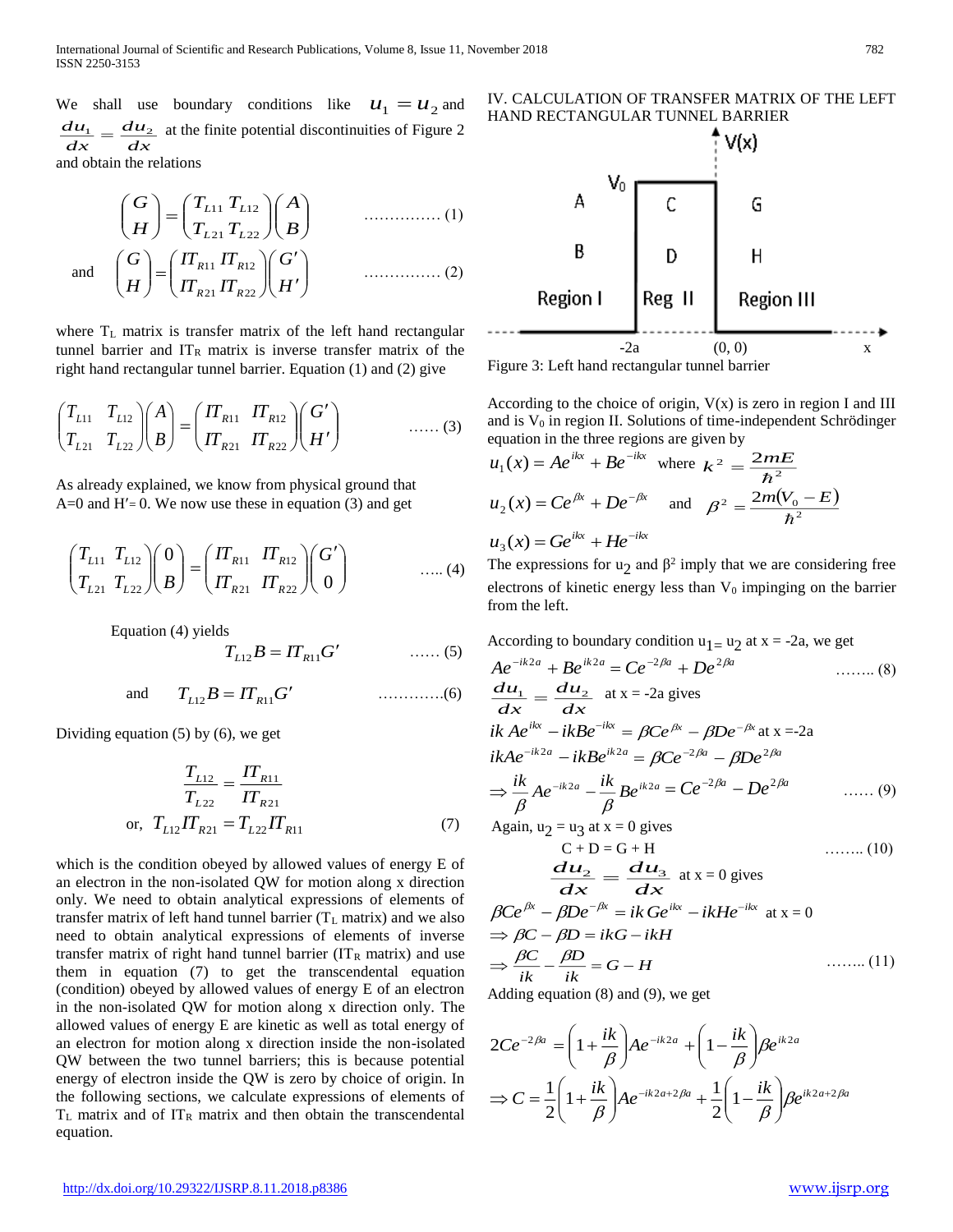We shall use boundary conditions like  $u_1 = u_2$  and *dx du dx*  $\frac{du_1}{du_2} = \frac{du_2}{du_1}$  at the finite potential discontinuities of Figure 2 and obtain the relations

$$
\begin{pmatrix} G \ H \end{pmatrix} = \begin{pmatrix} T_{L11} & T_{L12} \ T_{L21} & T_{L22} \end{pmatrix} \begin{pmatrix} A \ B \end{pmatrix}
$$
 ....... (1)  
and 
$$
\begin{pmatrix} G \ H \end{pmatrix} = \begin{pmatrix} \Pi_{R11} & \Pi_{R12} \ \Pi_{R21} & \Pi_{R22} \end{pmatrix} \begin{pmatrix} G' \ H' \end{pmatrix}
$$
 ....... (2)

where  $T_L$  matrix is transfer matrix of the left hand rectangular tunnel barrier and  $IT_R$  matrix is inverse transfer matrix of the right hand rectangular tunnel barrier. Equation (1) and (2) give

$$
\begin{pmatrix} T_{L11} & T_{L12} \\ T_{L21} & T_{L22} \end{pmatrix} \begin{pmatrix} A \\ B \end{pmatrix} = \begin{pmatrix} \varPi_{R11} & \varPi_{R12} \\ \varPi_{R21} & \varPi_{R22} \end{pmatrix} \begin{pmatrix} G' \\ H' \end{pmatrix} \qquad \qquad \dots \dots (3)
$$

As already explained, we know from physical ground that  $A=0$  and  $H'=0$ . We now use these in equation (3) and get

$$
\begin{pmatrix} T_{L11} & T_{L12} \\ T_{L21} & T_{L22} \end{pmatrix} \begin{pmatrix} 0 \\ B \end{pmatrix} = \begin{pmatrix} IT_{R11} & IT_{R12} \\ IT_{R21} & IT_{R22} \end{pmatrix} \begin{pmatrix} G' \\ 0 \end{pmatrix} \qquad \qquad \dots (4)
$$

Equation (4) yields

$$
T_{L12}B = I T_{R11} G' \qquad \qquad \dots \dots (5)
$$

and 
$$
T_{L12}B = IT_{R11}G'
$$
 .........(6)

Dividing equation (5) by (6), we get

$$
\frac{T_{L12}}{T_{L22}} = \frac{IT_{R11}}{IT_{R21}}
$$
\nor,  $T_{L12}IT_{R21} = T_{L22}IT_{R11}$  (7)

which is the condition obeyed by allowed values of energy E of an electron in the non-isolated QW for motion along x direction only. We need to obtain analytical expressions of elements of transfer matrix of left hand tunnel barrier  $(T_L \text{ matrix})$  and we also need to obtain analytical expressions of elements of inverse transfer matrix of right hand tunnel barrier ( $IT<sub>R</sub>$  matrix) and use them in equation (7) to get the transcendental equation (condition) obeyed by allowed values of energy E of an electron in the non-isolated QW for motion along x direction only. The allowed values of energy E are kinetic as well as total energy of an electron for motion along x direction inside the non-isolated QW between the two tunnel barriers; this is because potential energy of electron inside the QW is zero by choice of origin. In the following sections, we calculate expressions of elements of  $T_L$  matrix and of  $IT_R$  matrix and then obtain the transcendental equation.



Figure 3: Left hand rectangular tunnel barrier

According to the choice of origin,  $V(x)$  is zero in region I and III and is  $V_0$  in region II. Solutions of time-independent Schrödinger equation in the three regions are given by

$$
u_1(x) = Ae^{ikx} + Be^{-ikx} \text{ where } k^2 = \frac{2mE}{\hbar^2}
$$
  

$$
u_2(x) = Ce^{\beta x} + De^{-\beta x} \text{ and } \beta^2 = \frac{2m(V_0 - E)}{\hbar^2}
$$
  

$$
u_3(x) = Ge^{ikx} + He^{-ikx}
$$

The expressions for  $u_2$  and  $\beta^2$  imply that we are considering free electrons of kinetic energy less than  $V_0$  impinging on the barrier from the left.

According to boundary condition  $u_1 = u_2$  at  $x = -2a$ , we get

$$
Ae^{-ik2a} + Be^{ik2a} = Ce^{-2\beta a} + De^{2\beta a} \qquad \qquad \dots \dots (8)
$$
  
\n
$$
\frac{d\mathbf{u}_1}{dx} = \frac{d\mathbf{u}_2}{dx} \text{ at } x = -2a \text{ gives}
$$
  
\n
$$
ikAe^{ikx} - ikBe^{-ikx} = \beta Ce^{\beta x} - \beta De^{-\beta x} \text{ at } x = -2a
$$
  
\n
$$
ikAe^{-ik2a} - ikBe^{ik2a} = \beta Ce^{-2\beta a} - \beta De^{2\beta a}
$$
  
\n
$$
\Rightarrow \frac{ik}{\beta} Ae^{-ik2a} - \frac{ik}{\beta} Be^{ik2a} = Ce^{-2\beta a} - De^{2\beta a} \qquad \dots \dots (9)
$$
  
\nAgain,  $u_2 = u_3$  at  $x = 0$  gives  
\n
$$
C + D = G + H \qquad \dots \dots (10)
$$
  
\n
$$
\frac{d\mathbf{u}_2}{dx} = \frac{d\mathbf{u}_3}{dx} \text{ at } x = 0 \text{ gives}
$$
  
\n
$$
\beta Ce^{\beta x} - \beta De^{-\beta x} = ik\ Ge^{ikx} - ikHe^{-ikx} \text{ at } x = 0
$$
  
\n
$$
\Rightarrow BC - BD - ikG - ikH
$$

$$
\Rightarrow \beta C - \beta D = ikG - ikH
$$
  
\n
$$
\Rightarrow \frac{\beta C}{ik} - \frac{\beta D}{ik} = G - H
$$
 ......(11)  
\nAdding equation (8) and (9) we get

Adding equation (8) and (9), we get

$$
2Ce^{-2\beta a} = \left(1 + \frac{ik}{\beta}\right) Ae^{-ik2a} + \left(1 - \frac{ik}{\beta}\right)Be^{ik2a}
$$

$$
\Rightarrow C = \frac{1}{2}\left(1 + \frac{ik}{\beta}\right) Ae^{-ik2a+2\beta a} + \frac{1}{2}\left(1 - \frac{ik}{\beta}\right)Be^{ik2a+2\beta a}
$$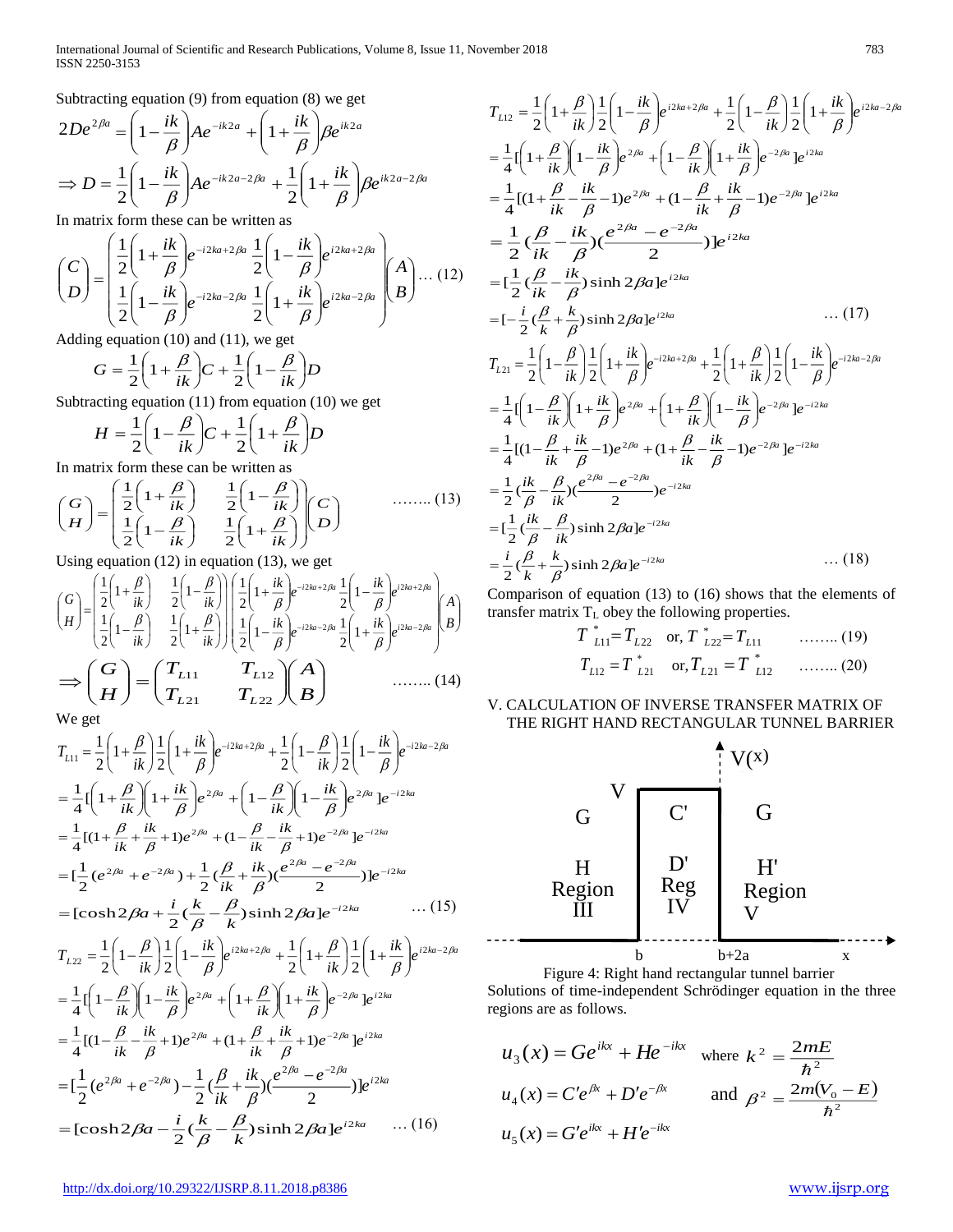Subtracting equation (9) from equation (8) we get

$$
2De^{2\beta a} = \left(1 - \frac{ik}{\beta}\right) Ae^{-ik2a} + \left(1 + \frac{ik}{\beta}\right)Be^{ik2a}
$$

$$
\Rightarrow D = \frac{1}{2}\left(1 - \frac{ik}{\beta}\right) Ae^{-ik2a - 2\beta a} + \frac{1}{2}\left(1 + \frac{ik}{\beta}\right)Be^{ik2a - 2\beta a}
$$

In matrix form these can be written as

$$
\begin{pmatrix} C \\ D \end{pmatrix} = \begin{pmatrix} \frac{1}{2} \left( 1 + \frac{ik}{\beta} \right) e^{-i2ka + 2\beta a} \frac{1}{2} \left( 1 - \frac{ik}{\beta} \right) e^{i2ka + 2\beta a} \\ \frac{1}{2} \left( 1 - \frac{ik}{\beta} \right) e^{-i2ka - 2\beta a} \frac{1}{2} \left( 1 + \frac{ik}{\beta} \right) e^{i2ka - 2\beta a} \end{pmatrix} \begin{pmatrix} A \\ B \end{pmatrix} \dots (12)
$$

Adding equation (10) and (11), we get

$$
G = \frac{1}{2} \left( 1 + \frac{\beta}{ik} \right) C + \frac{1}{2} \left( 1 - \frac{\beta}{ik} \right) D
$$

Subtracting equation (11) from equation (10) we get

$$
H = \frac{1}{2} \left( 1 - \frac{\beta}{ik} \right) C + \frac{1}{2} \left( 1 + \frac{\beta}{ik} \right) D
$$

In matrix form these can be written as

$$
\begin{pmatrix} G \\ H \end{pmatrix} = \begin{pmatrix} \frac{1}{2} \left( 1 + \frac{\beta}{ik} \right) & \frac{1}{2} \left( 1 - \frac{\beta}{ik} \right) \\ \frac{1}{2} \left( 1 - \frac{\beta}{ik} \right) & \frac{1}{2} \left( 1 + \frac{\beta}{ik} \right) \end{pmatrix} \begin{pmatrix} C \\ D \end{pmatrix}
$$
 ......(13)

Using equation (12) in equation (13), we get

$$
\begin{pmatrix}\nG \\
H\n\end{pmatrix} = \begin{pmatrix}\n\frac{1}{2}\left(1+\frac{\beta}{ik}\right) & \frac{1}{2}\left(1-\frac{\beta}{ik}\right) \\
\frac{1}{2}\left(1-\frac{\beta}{ik}\right) & \frac{1}{2}\left(1+\frac{ik}{\beta}\right)\n\end{pmatrix} \begin{pmatrix}\n\frac{1}{2}\left(1+\frac{ik}{\beta}\right)e^{-i2ka+2\beta a} & \frac{1}{2}\left(1-\frac{ik}{\beta}\right)e^{i2ka+2\beta a}\n\end{pmatrix}\n\begin{pmatrix}\nA \\
B\n\end{pmatrix}
$$
\n
$$
\implies \begin{pmatrix}\nG \\
H\n\end{pmatrix} = \begin{pmatrix}\nT_{L11} & T_{L12} \\
T_{L21} & T_{L22}\n\end{pmatrix}\n\begin{pmatrix}\nA \\
B\n\end{pmatrix} \quad \text{........ (14)}
$$

We get

$$
T_{L11} = \frac{1}{2} \left( 1 + \frac{\beta}{ik} \right) \frac{1}{2} \left( 1 + \frac{ik}{\beta} \right) e^{-i2ka + 2\beta a} + \frac{1}{2} \left( 1 - \frac{\beta}{ik} \right) \frac{1}{2} \left( 1 - \frac{ik}{\beta} \right) e^{-i2ka - 2\beta a}
$$
  
\n
$$
= \frac{1}{4} \left( 1 + \frac{\beta}{ik} \right) \left( 1 + \frac{ik}{\beta} \right) e^{2\beta a} + \left( 1 - \frac{\beta}{ik} \right) \left( 1 - \frac{ik}{\beta} \right) e^{2\beta a} \right) e^{-i2ka}
$$
  
\n
$$
= \frac{1}{4} \left[ (1 + \frac{\beta}{ik} + \frac{ik}{\beta} + 1) e^{2\beta a} + (1 - \frac{\beta}{ik} - \frac{ik}{\beta} + 1) e^{-2\beta a} \right] e^{-i2ka}
$$
  
\n
$$
= \left[ \frac{1}{2} (e^{2\beta a} + e^{-2\beta a}) + \frac{1}{2} (\frac{\beta}{ik} + \frac{ik}{\beta}) (\frac{e^{2\beta a} - e^{-2\beta a}}{2}) e^{-i2ka}
$$
  
\n
$$
= [\cosh 2\beta a + \frac{i}{2} (\frac{k}{\beta} - \frac{\beta}{k}) \sinh 2\beta a] e^{-i2ka} \qquad \qquad (15)
$$
  
\n
$$
= \frac{1}{2} \left( \frac{\beta}{\beta} \right) \left( \frac{ik}{\beta} \right) \frac{1}{\beta} e^{-i2ka} \qquad \qquad (16)
$$

$$
T_{L22} = \frac{1}{2} \left( 1 - \frac{\beta}{ik} \right) \frac{1}{2} \left( 1 - \frac{ik}{\beta} \right) e^{i2ka + 2\beta a} + \frac{1}{2} \left( 1 + \frac{\beta}{ik} \right) \frac{1}{2} \left( 1 + \frac{ik}{\beta} \right) e^{i2ka - 2\beta a}
$$
  
\n
$$
= \frac{1}{4} \left( 1 - \frac{\beta}{ik} \right) \left( 1 - \frac{ik}{\beta} \right) e^{2\beta a} + \left( 1 + \frac{\beta}{ik} \right) \left( 1 + \frac{ik}{\beta} \right) e^{-2\beta a} \right) e^{i2ka}
$$
  
\n
$$
= \frac{1}{4} \left[ (1 - \frac{\beta}{ik} - \frac{ik}{\beta} + 1) e^{2\beta a} + (1 + \frac{\beta}{ik} + \frac{ik}{\beta} + 1) e^{-2\beta a} \right] e^{i2ka}
$$
  
\n
$$
= \left[ \frac{1}{2} (e^{2\beta a} + e^{-2\beta a}) - \frac{1}{2} (\frac{\beta}{ik} + \frac{ik}{\beta}) (\frac{e^{2\beta a} - e^{-2\beta a}}{2}) \right] e^{i2ka}
$$
  
\n
$$
= [\cosh 2\beta a - \frac{i}{2} (\frac{k}{\beta} - \frac{\beta}{k}) \sinh 2\beta a] e^{i2ka} \quad \dots (16)
$$

$$
T_{L12} = \frac{1}{2} \left( 1 + \frac{\beta}{ik} \right) \frac{1}{2} \left( 1 - \frac{ik}{\beta} \right) e^{i2ka + 2\beta a} + \frac{1}{2} \left( 1 - \frac{\beta}{ik} \right) \frac{1}{2} \left( 1 + \frac{ik}{\beta} \right) e^{i2ka - 2\beta a}
$$
  
\n
$$
= \frac{1}{4} \left[ \left( 1 + \frac{\beta}{ik} \right) \left( 1 - \frac{ik}{\beta} \right) e^{2\beta a} + \left( 1 - \frac{\beta}{ik} \right) \left( 1 + \frac{ik}{\beta} \right) e^{-2\beta a} \right] e^{i2ka}
$$
  
\n
$$
= \frac{1}{4} \left[ (1 + \frac{\beta}{ik} - \frac{ik}{\beta} - 1) e^{2\beta a} + (1 - \frac{\beta}{ik} + \frac{ik}{\beta} - 1) e^{-2\beta a} \right] e^{i2ka}
$$
  
\n
$$
= \frac{1}{2} \left( \frac{\beta}{ik} - \frac{ik}{\beta} \right) \left( \frac{e^{2\beta a} - e^{-2\beta a}}{2} \right) e^{i2ka}
$$
  
\n
$$
= \left[ -\frac{i}{2} \left( \frac{\beta}{ik} + \frac{k}{\beta} \right) \sinh 2\beta a \right] e^{i2ka}
$$
...(17)  
\n
$$
T_{L21} = \frac{1}{2} \left( 1 - \frac{\beta}{ik} \right) \frac{1}{2} \left( 1 + \frac{ik}{\beta} \right) e^{-i2ka + 2\beta a} + \frac{1}{2} \left( 1 + \frac{\beta}{ik} \right) \frac{1}{2} \left( 1 - \frac{ik}{\beta} \right) e^{-i2ka - 2\beta a}
$$
  
\n
$$
= \frac{1}{4} \left( 1 - \frac{\beta}{ik} \right) \left( 1 + \frac{ik}{\beta} \right) e^{-i2\beta a} + \left( 1 + \frac{\beta}{ik} \right) \left( 1 - \frac{ik}{\beta} \right) e^{-i2\beta a} \right] e^{-i2ka}
$$
  
\n
$$
= \frac{1}{4} \left[ (1 - \frac{\beta}{ik} + \frac{ik}{\beta} -
$$

Comparison of equation (13) to (16) shows that the elements of transfer matrix  $T_L$  obey the following properties.

$$
T_{L11}^{*} = T_{L22} \text{ or, } T_{L22}^{*} = T_{L11} \quad \dots \dots \dots (19)
$$
  

$$
T_{L12} = T_{L21}^{*} \text{ or, } T_{L21} = T_{L12}^{*} \quad \dots \dots \dots (20)
$$

# V. CALCULATION OF INVERSE TRANSFER MATRIX OF THE RIGHT HAND RECTANGULAR TUNNEL BARRIER



 Solutions of time-independent Schrödinger equation in the three Figure 4: Right hand rectangular tunnel barrier regions are as follows.

$$
u_3(x) = Ge^{ikx} + He^{-ikx} \text{ where } k^2 = \frac{2mE}{\hbar^2}
$$
  

$$
u_4(x) = Ce^{ikx} + De^{-ikx} \text{ and } \beta^2 = \frac{2m(V_0 - E)}{\hbar^2}
$$
  

$$
u_5(x) = Ge^{ikx} + He^{-ikx}
$$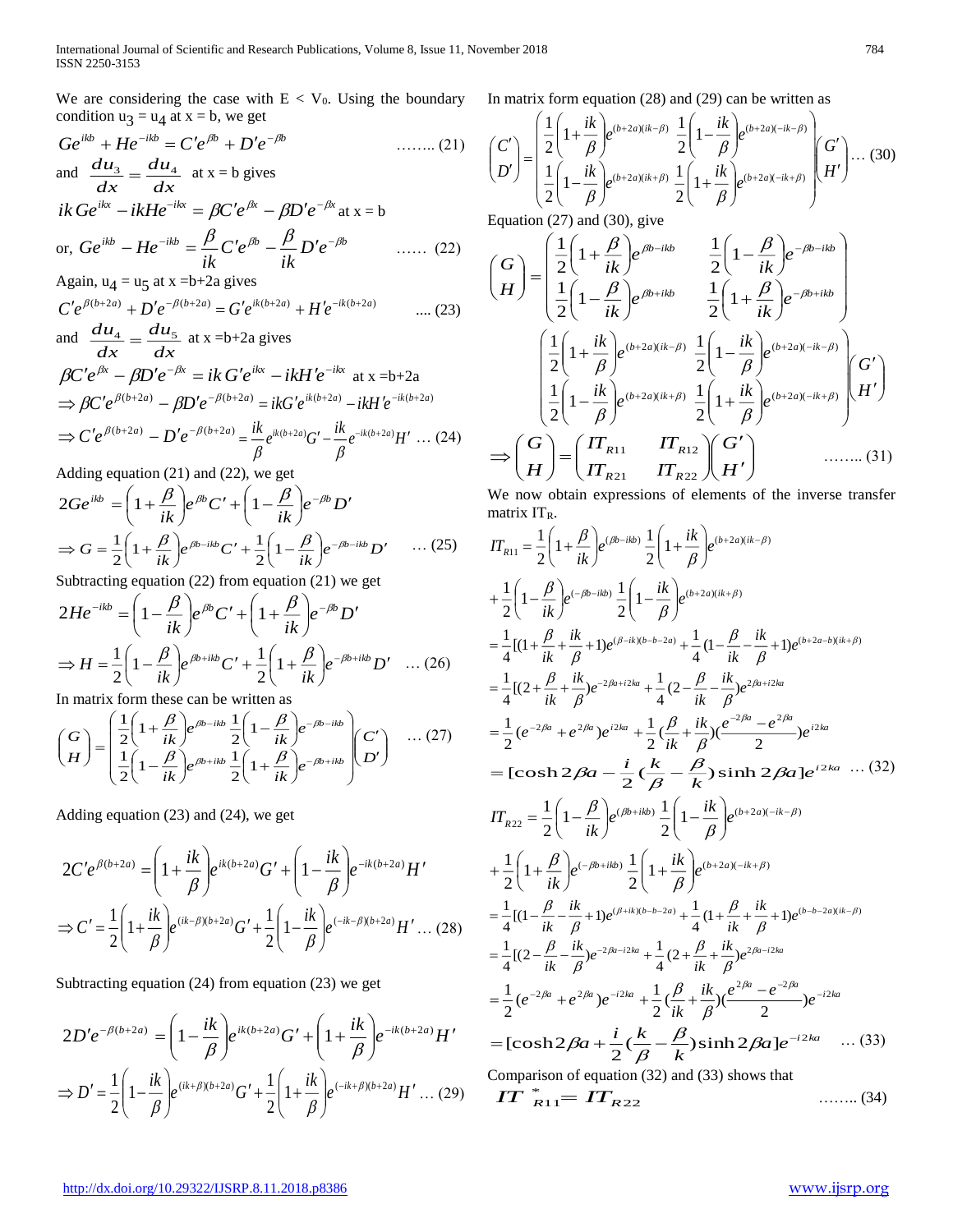We are considering the case with  $E < V_0$ . Using the boundary In matrix form equation (28) and (29) can be written as condition  $u_3 = u_4$  at  $x = b$ , we get

$$
Ge^{ikb} + He^{-ikb} = C'e^{jbb} + D'e^{-jb} \qquad \qquad (21)
$$
  
and 
$$
\frac{du_3}{dx} = \frac{du_4}{dx} \text{ at } x = b \text{ gives}
$$
  

$$
ik Ge^{ikx} - ikHe^{-ikx} = \beta C'e^{jpx} - \beta D'e^{-jpx} \text{ at } x = b
$$
  
or, 
$$
Ge^{ikb} - He^{-ikb} = \frac{\beta}{ik} C'e^{jb} - \frac{\beta}{ik} D'e^{-jb} \qquad \qquad (22)
$$
  
Again,  $u_4 = u_5$  at  $x = b+2a$  gives  

$$
C'e^{j(b+2a)} + D'e^{-j(b+2a)} = G'e^{ik(b+2a)} + H'e^{-ik(b+2a)} \qquad \qquad (23)
$$

and 
$$
\frac{du_4}{dx} = \frac{du_5}{dx}
$$
 at x =b+2a gives  
\n
$$
\beta C' e^{\beta x} - \beta D' e^{-\beta x} = ik G' e^{ikx} - ikH' e^{-ikx}
$$
 at x =b+2a  
\n
$$
\Rightarrow \beta C' e^{\beta(b+2a)} - \beta D' e^{-\beta(b+2a)} = ikG' e^{ik(b+2a)} - ikH' e^{-ik(b+2a)}
$$
\n
$$
\Rightarrow C' e^{\beta(b+2a)} - D' e^{-\beta(b+2a)} = \frac{ik}{\beta} e^{ik(b+2a)} G' - \frac{ik}{\beta} e^{-ik(b+2a)} H' \dots (24)
$$

Adding equation (21) and (22), we get

$$
2Ge^{ikb} = \left(1 + \frac{\beta}{ik}\right)e^{\beta b}C' + \left(1 - \frac{\beta}{ik}\right)e^{-\beta b}D'
$$

$$
\Rightarrow G = \frac{1}{2}\left(1 + \frac{\beta}{ik}\right)e^{\beta b - ikb}C' + \frac{1}{2}\left(1 - \frac{\beta}{ik}\right)e^{-\beta b - ikb}D' \quad \dots (25)
$$

Subtracting equation (22) from equation (21) we get

$$
2He^{-ikb} = \left(1 - \frac{\beta}{ik}\right)e^{\beta b}C' + \left(1 + \frac{\beta}{ik}\right)e^{-\beta b}D'
$$

$$
\Rightarrow H = \frac{1}{2}\left(1 - \frac{\beta}{ik}\right)e^{\beta b + ikb}C' + \frac{1}{2}\left(1 + \frac{\beta}{ik}\right)e^{-\beta b + ikb}D' \quad \dots (26)
$$

In matrix form these can be written as

$$
\begin{pmatrix} G \\ H \end{pmatrix} = \begin{pmatrix} \frac{1}{2} \left( 1 + \frac{\beta}{ik} \right) e^{\beta b - ikb} \frac{1}{2} \left( 1 - \frac{\beta}{ik} \right) e^{-\beta b - ikb} \\ \frac{1}{2} \left( 1 - \frac{\beta}{ik} \right) e^{\beta b + ikb} \frac{1}{2} \left( 1 + \frac{\beta}{ik} \right) e^{-\beta b + ikb} \end{pmatrix} \begin{pmatrix} C' \\ D' \end{pmatrix} \quad \dots (27)
$$

Adding equation (23) and (24), we get

$$
2C'e^{\beta(b+2a)} = \left(1 + \frac{ik}{\beta}\right)e^{ik(b+2a)}G' + \left(1 - \frac{ik}{\beta}\right)e^{-ik(b+2a)}H'
$$
  

$$
\Rightarrow C' = \frac{1}{2}\left(1 + \frac{ik}{\beta}\right)e^{(ik-\beta)(b+2a)}G' + \frac{1}{2}\left(1 - \frac{ik}{\beta}\right)e^{(-ik-\beta)(b+2a)}H' \dots (28)
$$

Subtracting equation (24) from equation (23) we get

$$
2D'e^{-\beta(b+2a)} = \left(1 - \frac{ik}{\beta}\right)e^{ik(b+2a)}G' + \left(1 + \frac{ik}{\beta}\right)e^{-ik(b+2a)}H'
$$
  

$$
\Rightarrow D' = \frac{1}{2}\left(1 - \frac{ik}{\beta}\right)e^{(ik+\beta)(b+2a)}G' + \frac{1}{2}\left(1 + \frac{ik}{\beta}\right)e^{(-ik+\beta)(b+2a)}H' \dots (29)
$$

$$
\begin{pmatrix} C' \\ D' \end{pmatrix} = \begin{pmatrix} \frac{1}{2} \left( 1 + \frac{ik}{\beta} \right) e^{(b+2a)(ik-\beta)} & \frac{1}{2} \left( 1 - \frac{ik}{\beta} \right) e^{(b+2a)(-ik-\beta)} \\ \frac{1}{2} \left( 1 - \frac{ik}{\beta} \right) e^{(b+2a)(ik+\beta)} & \frac{1}{2} \left( 1 + \frac{ik}{\beta} \right) e^{(b+2a)(-ik+\beta)} \end{pmatrix} \begin{pmatrix} G' \\ H' \end{pmatrix} \dots (30)
$$
  
\nEquation (27) and (30) give

Equation  $(27)$  and  $(30)$ , give

$$
\begin{pmatrix}\nG \\
H\n\end{pmatrix} = \begin{pmatrix}\n\frac{1}{2}\left(1+\frac{\beta}{ik}\right)e^{\beta b - ikb} & \frac{1}{2}\left(1-\frac{\beta}{ik}\right)e^{-\beta b - ikb} \\
\frac{1}{2}\left(1-\frac{\beta}{ik}\right)e^{\beta b + ibb} & \frac{1}{2}\left(1+\frac{\beta}{ik}\right)e^{-\beta b + ibb}\n\end{pmatrix}
$$
\n
$$
\begin{pmatrix}\n\frac{1}{2}\left(1+\frac{ik}{\beta}\right)e^{(b+2a)(ik-\beta)} & \frac{1}{2}\left(1-\frac{ik}{\beta}\right)e^{(b+2a)(-ik-\beta)} \\
\frac{1}{2}\left(1-\frac{ik}{\beta}\right)e^{(b+2a)(ik+\beta)} & \frac{1}{2}\left(1+\frac{ik}{\beta}\right)e^{(b+2a)(-ik+\beta)}\n\end{pmatrix}\n\begin{pmatrix}\nG' \\
H'\n\end{pmatrix}
$$
\n
$$
\Rightarrow \begin{pmatrix}\nG \\
H\n\end{pmatrix} = \begin{pmatrix}\nIT_{R11} & IT_{R12} \\
IT_{R21} & IT_{R22}\n\end{pmatrix}\n\begin{pmatrix}\nG' \\
H'\n\end{pmatrix} \quad \text{........ (31)}
$$

We now obtain expressions of elements of the inverse transfer matrix  $IT_R$ .

$$
IT_{R11} = \frac{1}{2} \left( 1 + \frac{\beta}{ik} \right) e^{(\beta b - ikb)} \frac{1}{2} \left( 1 + \frac{ik}{\beta} \right) e^{(b + 2a)(ik - \beta)}
$$
  
+ 
$$
\frac{1}{2} \left( 1 - \frac{\beta}{ik} \right) e^{(-\beta b - ikb)} \frac{1}{2} \left( 1 - \frac{ik}{\beta} \right) e^{(b + 2a)(ik + \beta)}
$$
  
= 
$$
\frac{1}{4} [(1 + \frac{\beta}{ik} + \frac{ik}{\beta} + 1) e^{(\beta - ik)(b - b - 2a)} + \frac{1}{4} (1 - \frac{\beta}{ik} - \frac{ik}{\beta} + 1) e^{(b + 2a - b)(ik + \beta)}
$$
  
= 
$$
\frac{1}{4} [(2 + \frac{\beta}{ik} + \frac{ik}{\beta}) e^{-2\beta a + i2ka} + \frac{1}{4} (2 - \frac{\beta}{ik} - \frac{ik}{\beta}) e^{2\beta a + i2ka}
$$
  
= 
$$
\frac{1}{2} (e^{-2\beta a} + e^{-2\beta a}) e^{i2ka} + \frac{1}{2} (\frac{\beta}{ik} + \frac{ik}{\beta}) (e^{-2\beta a} - e^{-2\beta a}) e^{i2ka}
$$
  
= 
$$
[\cosh 2\beta a - \frac{i}{2} (\frac{k}{\beta} - \frac{\beta}{k}) \sinh 2\beta a] e^{i2ka} \cdots (32)
$$
  

$$
IT_{R22} = \frac{1}{2} \left( 1 - \frac{\beta}{ik} \right) e^{(\beta b + ikb)} \frac{1}{2} \left( 1 - \frac{ik}{\beta} \right) e^{(b + 2a)(-ik - \beta)}
$$
  
+ 
$$
\frac{1}{2} \left( 1 + \frac{\beta}{ik} \right) e^{(-\beta b + ikb)} \frac{1}{2} \left( 1 + \frac{ik}{\beta} \right) e^{(b + 2a)(-ik + \beta)}
$$
  
= 
$$
\frac{1}{4} [(1 - \frac{\beta}{ik} - \frac{ik}{\beta} + 1) e^{(\beta + i)(b - b - 2a)} + \frac{1}{4} (1 + \frac{\beta}{ik} + \frac{ik}{\beta} + 1) e^{(b - b - 2a)(ik - \beta)}
$$
<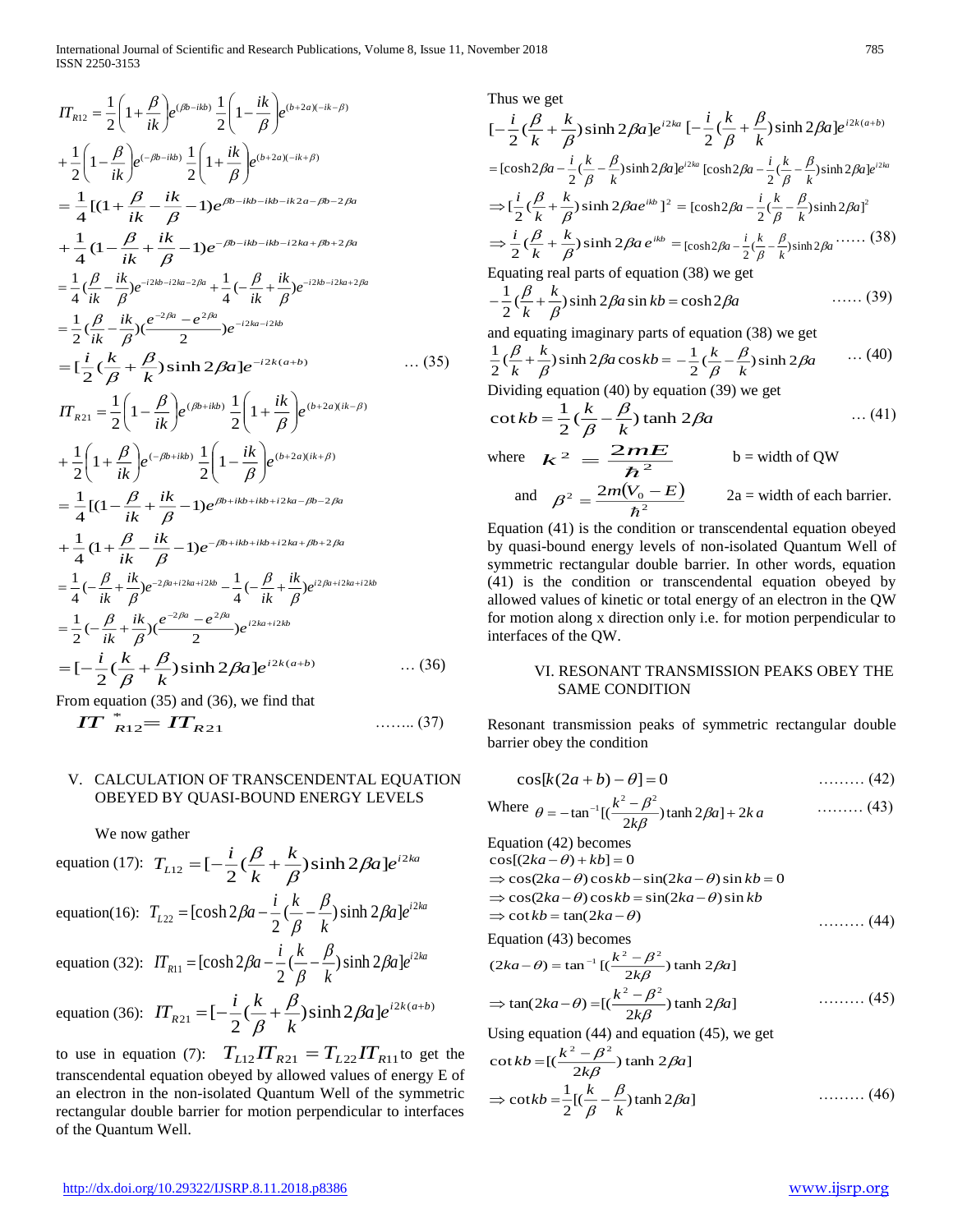$$
\begin{split}\n&\prod_{R12} = \frac{1}{2} \left( 1 + \frac{\beta}{ik} \right) e^{(\beta b - ikb)} \frac{1}{2} \left( 1 - \frac{ik}{\beta} \right) e^{(b + 2a)(-ik - \beta)} \\
&+ \frac{1}{2} \left( 1 - \frac{\beta}{ik} \right) e^{(-\beta b - ikb)} \frac{1}{2} \left( 1 + \frac{ik}{\beta} \right) e^{(b + 2a)(-ik + \beta)} \\
&= \frac{1}{4} \left[ (1 + \frac{\beta}{ik} - \frac{ik}{\beta} - 1) e^{\beta b - ikb - ikb - ik2a - \beta b - 2\beta a} \\
&+ \frac{1}{4} \left( 1 - \frac{\beta}{ik} + \frac{ik}{\beta} - 1 \right) e^{-\beta b - ikb - ikb - i2ka + \beta b + 2\beta a} \\
&= \frac{1}{4} \left( \frac{\beta}{ik} - \frac{ik}{\beta} \right) e^{-i2kb - i2ka - 2\beta a} + \frac{1}{4} \left( -\frac{\beta}{ik} + \frac{ik}{\beta} \right) e^{-i2kb - i2ka + 2\beta a} \\
&= \frac{1}{2} \left( \frac{\beta}{ik} - \frac{ik}{\beta} \right) \left( e^{\frac{-2\beta a}{2}} - e^{\frac{-2\beta a}{2}} \right) e^{-i2ka - i2kb} \\
&= \left( \frac{i}{2} \left( \frac{k}{\beta} + \frac{\beta}{k} \right) \sinh 2\beta a \right) e^{-i2k(a+b)} \\
&= \left( \frac{i}{2} \left( 1 - \frac{\beta}{ik} \right) e^{(\beta b + ib)} \frac{1}{2} \left( 1 + \frac{ik}{\beta} \right) e^{(b + 2a)(ik - \beta)} \\
&+ \frac{1}{2} \left( 1 + \frac{\beta}{ik} \right) e^{(-\beta b + ibb)} \frac{1}{2} \left( 1 - \frac{ik}{\beta} \right) e^{(b + 2a)(ik + \beta)} \\
&= \frac{1}{4} \left[ (1 - \frac{\beta}{ik} + \frac{ik}{\beta} - 1) e^{-\beta b + ibb + ibb + i2ka - \beta b - 2\beta a} \\
&+ \frac{1}{4} \left( 1 + \frac{\beta}{ik} - \frac{ik}{\beta} - 1 \right) e^{-\beta b
$$

From equation (35) and (36), we find that

$$
IT_{R12}^* = IT_{R21} \qquad \qquad \qquad \dots \dots (37)
$$

## V. CALCULATION OF TRANSCENDENTAL EQUATION OBEYED BY QUASI-BOUND ENERGY LEVELS

We now gather

equation (17): 
$$
T_{L12} = \left[-\frac{i}{2}(\frac{\beta}{k} + \frac{k}{\beta})\sinh 2\beta a\right]e^{i2ka}
$$
  
\nequation(16):  $T_{L22} = [\cosh 2\beta a - \frac{i}{2}(\frac{k}{\beta} - \frac{\beta}{k})\sinh 2\beta a]e^{i2ka}$   
\nequation (32):  $IT_{R11} = [\cosh 2\beta a - \frac{i}{2}(\frac{k}{\beta} - \frac{\beta}{k})\sinh 2\beta a]e^{i2ka}$   
\nequation (36):  $IT_{R21} = \left[-\frac{i}{2}(\frac{k}{\beta} + \frac{\beta}{k})\sinh 2\beta a\right]e^{i2k(a+b)}$ 

to use in equation (7):  $T_{L12} T_{R21} = T_{L22} T_{R11}$  to get the transcendental equation obeyed by allowed values of energy E of an electron in the non-isolated Quantum Well of the symmetric rectangular double barrier for motion perpendicular to interfaces of the Quantum Well.

Thus we get

$$
[-\frac{i}{2}(\frac{\beta}{k} + \frac{k}{\beta})\sinh 2\beta a]e^{i2ka} [-\frac{i}{2}(\frac{k}{\beta} + \frac{\beta}{k})\sinh 2\beta a]e^{i2k(a+b)}
$$
  
=  $[\cosh 2\beta a - \frac{i}{2}(\frac{k}{\beta} - \frac{\beta}{k})\sinh 2\beta a]e^{i2ka} [\cosh 2\beta a - \frac{i}{2}(\frac{k}{\beta} - \frac{\beta}{k})\sinh 2\beta a]e^{i2ka}$   
 $\Rightarrow [\frac{i}{2}(\frac{\beta}{k} + \frac{k}{\beta})\sinh 2\beta ae^{ikb}]^2 = [\cosh 2\beta a - \frac{i}{2}(\frac{k}{\beta} - \frac{\beta}{k})\sinh 2\beta a]^2$   
 $\Rightarrow \frac{i}{2}(\frac{\beta}{k} + \frac{k}{\beta})\sinh 2\beta a e^{ikb} = [\cosh 2\beta a - \frac{i}{2}(\frac{k}{\beta} - \frac{\beta}{k})\sinh 2\beta a \cdot \cdots \cdot (38)$   
Equating real parts of equation (38) we get  
 $-\frac{1}{2}(\frac{\beta}{k} + \frac{k}{\beta})\sinh 2\beta a \sin kb = \cosh 2\beta a$  .... (39)  
and equating imaginary parts of equation (38) we get

and equating imaginary parts of equation 
$$
(38)
$$
 we get

$$
\frac{1}{2}(\frac{\beta}{k} + \frac{k}{\beta})\sinh 2\beta a \cos kb = -\frac{1}{2}(\frac{k}{\beta} - \frac{\beta}{k})\sinh 2\beta a \qquad \cdots (40)
$$

Dividing equation (40) by equation (39) we get

$$
\cot kb = \frac{1}{2} (\frac{k}{\beta} - \frac{\beta}{k}) \tanh 2\beta a \qquad \qquad \dots (41)
$$
  
where  $k^2 = \frac{2mE}{\hbar^2}$   $b = \text{width of QW}$   
and  $\beta^2 = \frac{2m(V_0 - E)}{\hbar^2}$   $2a = \text{width of each barrier.}$ 

Equation (41) is the condition or transcendental equation obeyed by quasi-bound energy levels of non-isolated Quantum Well of symmetric rectangular double barrier. In other words, equation (41) is the condition or transcendental equation obeyed by allowed values of kinetic or total energy of an electron in the QW for motion along x direction only i.e. for motion perpendicular to interfaces of the QW.

## VI. RESONANT TRANSMISSION PEAKS OBEY THE SAME CONDITION

Resonant transmission peaks of symmetric rectangular double barrier obey the condition

$$
\cos[k(2a+b) - \theta] = 0 \tag{42}
$$

Where 
$$
\theta = -\tan^{-1}\left[\left(\frac{k^2 - \beta^2}{2k\beta}\right)\tanh 2\beta a\right] + 2ka
$$
 (43)

Equation (42) becomes  $\cos[(2ka - \theta) + kb] = 0$  $\Rightarrow$  cos(2*ka* –  $\theta$ ) cos*kb* – sin(2*ka* –  $\theta$ ) sin *kb* = 0  $\Rightarrow$  cos(2*ka* –  $\theta$ ) cos*kb* = sin(2*ka* –  $\theta$ ) sin *kb*  $\Rightarrow$  cot  $kb = \tan(2ka - \theta)$ ……… (44)

Equation (43) becomes

$$
(2ka - \theta) = \tan^{-1} \left[ \left( \frac{k^2 - \beta^2}{2k\beta} \right) \tanh 2\beta a \right]
$$
  
\n
$$
\Rightarrow \tan(2ka - \theta) = \left[ \left( \frac{k^2 - \beta^2}{2k\beta} \right) \tanh 2\beta a \right]
$$
\n(45)

Using equation (44) and equation (45), we get

$$
\cot kb = [(\frac{k^2 - \beta^2}{2k\beta}) \tanh 2\beta a]
$$
  
\n
$$
\Rightarrow \cot kb = \frac{1}{2} [(\frac{k}{\beta} - \frac{\beta}{k}) \tanh 2\beta a]
$$
 ......(46)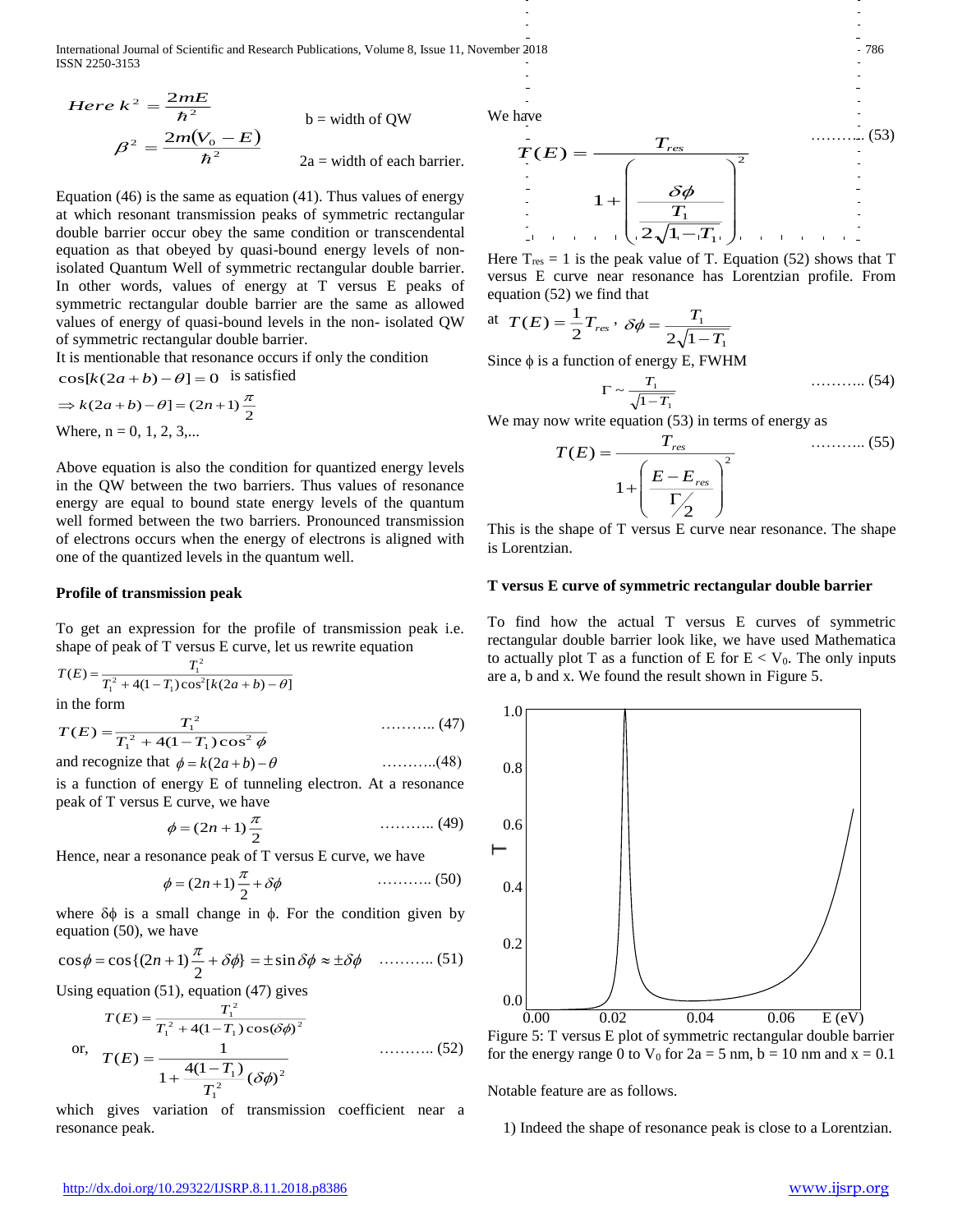International Journal of Scientific and Research Publications, Volume 8, Issue 11, November 2018 786 ISSN 2250-3153

Here 
$$
k^2 = \frac{2mE}{\hbar^2}
$$
  
\n
$$
\beta^2 = \frac{2m(V_0 - E)}{\hbar^2}
$$
\n
$$
b = \text{width of QW}
$$
\n
$$
\beta^2 = \frac{2m(V_0 - E)}{\hbar^2}
$$
\n
$$
2a = \text{width of each barrier.}
$$

Equation (46) is the same as equation (41). Thus values of energy at which resonant transmission peaks of symmetric rectangular double barrier occur obey the same condition or transcendental equation as that obeyed by quasi-bound energy levels of nonisolated Quantum Well of symmetric rectangular double barrier. In other words, values of energy at T versus E peaks of symmetric rectangular double barrier are the same as allowed values of energy of quasi-bound levels in the non- isolated QW of symmetric rectangular double barrier.

It is mentionable that resonance occurs if only the condition  $\cos[k(2a+b)-\theta] = 0$  is satisfied

$$
\Rightarrow k(2a+b) - \theta = (2n+1)\frac{\pi}{2}
$$
  
Where, n = 0, 1, 2, 3....

Above equation is also the condition for quantized energy levels in the QW between the two barriers. Thus values of resonance energy are equal to bound state energy levels of the quantum well formed between the two barriers. Pronounced transmission of electrons occurs when the energy of electrons is aligned with one of the quantized levels in the quantum well.

### **Profile of transmission peak**

To get an expression for the profile of transmission peak i.e. shape of peak of T versus E curve, let us rewrite equation

$$
T(E) = \frac{T_1^2}{T_1^2 + 4(1 - T_1)\cos^2[k(2a + b) - \theta]}
$$

in the form

$$
T(E) = \frac{T_1^2}{T_1^2 + 4(1 - T_1)\cos^2\phi}
$$
 (47)

and recognize that 
$$
\phi = k(2a+b) - \theta
$$
 .........(48)

is a function of energy E of tunneling electron. At a resonance peak of T versus E curve, we have

$$
\phi = (2n+1)\frac{\pi}{2} \tag{49}
$$

Hence, near a resonance peak of T versus E curve, we have

$$
\phi = (2n+1)\frac{\pi}{2} + \delta\phi \tag{50}
$$

where  $\delta\phi$  is a small change in  $\phi$ . For the condition given by equation (50), we have

$$
\cos \phi = \cos \left( \left( 2n + 1 \right) \frac{\pi}{2} + \delta \phi \right) = \pm \sin \delta \phi \approx \pm \delta \phi \quad \dots \dots \dots \dots \tag{51}
$$

Using equation (51), equation (47) gives

$$
T(E) = \frac{T_1^2}{T_1^2 + 4(1 - T_1)\cos(\delta\phi)^2}
$$
  
or, 
$$
T(E) = \frac{1}{1 + \frac{4(1 - T_1)}{T_1^2}(\delta\phi)^2}
$$
 (52)

which gives variation of transmission coefficient near a resonance peak.

We have

$$
T(E) = \frac{T_{res}}{1 + \left(\frac{\delta \phi}{T_1}\right)^2}
$$
 (53)  

$$
\frac{1}{2\sqrt{1-T_1}}
$$

Here  $T_{res} = 1$  is the peak value of T. Equation (52) shows that T versus E curve near resonance has Lorentzian profile. From equation (52) we find that

at 
$$
T(E) = \frac{1}{2}T_{res} \cdot \delta\phi = \frac{T_1}{2\sqrt{1-T_1}}
$$

Since  $\phi$  is a function of energy E, FWHM

$$
\Gamma \sim \frac{T_1}{\sqrt{1 - T_1}} \tag{54}
$$

We may now write equation  $(53)$  in terms of energy as

$$
T(E) = \frac{T_{res}}{1 + \left(\frac{E - E_{res}}{\Gamma / 2}\right)^2}
$$
 (55)

This is the shape of T versus E curve near resonance. The shape is Lorentzian.

#### **T versus E curve of symmetric rectangular double barrier**

To find how the actual T versus E curves of symmetric rectangular double barrier look like, we have used Mathematica to actually plot T as a function of E for  $E < V_0$ . The only inputs are a, b and x. We found the result shown in Figure 5.



for the energy range 0 to  $V_0$  for  $2a = 5$  nm,  $b = 10$  nm and  $x = 0.1$ 

Notable feature are as follows.

1) Indeed the shape of resonance peak is close to a Lorentzian.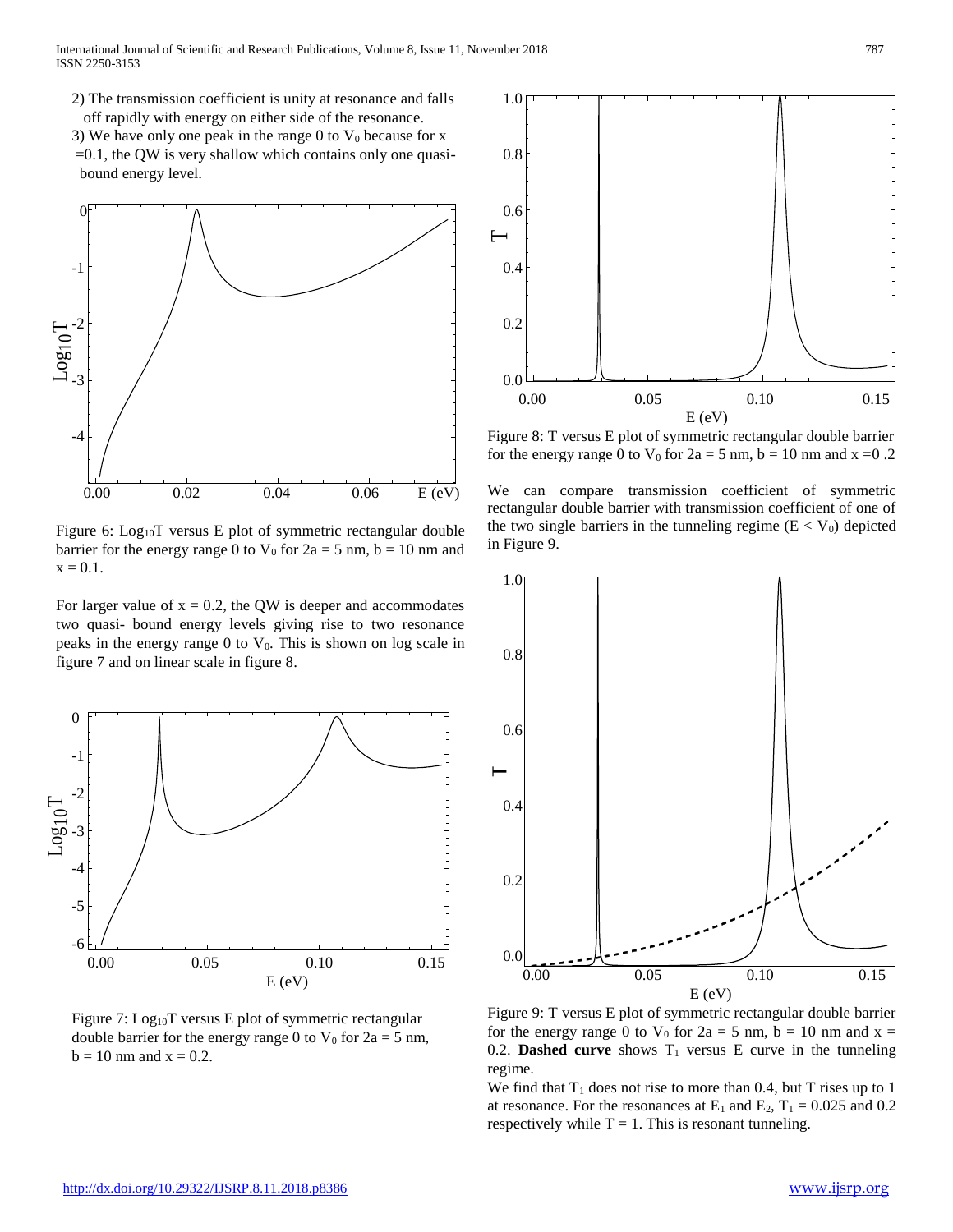- 2) The transmission coefficient is unity at resonance and falls off rapidly with energy on either side of the resonance.
- 3) We have only one peak in the range 0 to  $V_0$  because for x  $=0.1$ , the QW is very shallow which contains only one quasibound energy level.



Figure 6: Log<sub>10</sub>T versus E plot of symmetric rectangular double barrier for the energy range 0 to  $V_0$  for  $2a = 5$  nm, b = 10 nm and  $x = 0.1$ .

For larger value of  $x = 0.2$ , the QW is deeper and accommodates two quasi- bound energy levels giving rise to two resonance peaks in the energy range 0 to  $V_0$ . This is shown on log scale in figure 7 and on linear scale in figure 8.



Figure 7:  $Log<sub>10</sub>T$  versus E plot of symmetric rectangular double barrier for the energy range 0 to  $V_0$  for  $2a = 5$  nm,  $b = 10$  nm and  $x = 0.2$ .



Figure 8: T versus E plot of symmetric rectangular double barrier for the energy range 0 to  $V_0$  for  $2a = 5$  nm,  $b = 10$  nm and  $x = 0.2$ 

We can compare transmission coefficient of symmetric rectangular double barrier with transmission coefficient of one of the two single barriers in the tunneling regime  $(E < V_0)$  depicted in Figure 9.



Figure 9: T versus E plot of symmetric rectangular double barrier for the energy range 0 to  $V_0$  for  $2a = 5$  nm,  $b = 10$  nm and  $x =$ 0.2. **Dashed curve** shows  $T_1$  versus E curve in the tunneling regime.

We find that  $T_1$  does not rise to more than 0.4, but T rises up to 1 at resonance. For the resonances at  $E_1$  and  $E_2$ ,  $T_1 = 0.025$  and 0.2 respectively while  $T = 1$ . This is resonant tunneling.